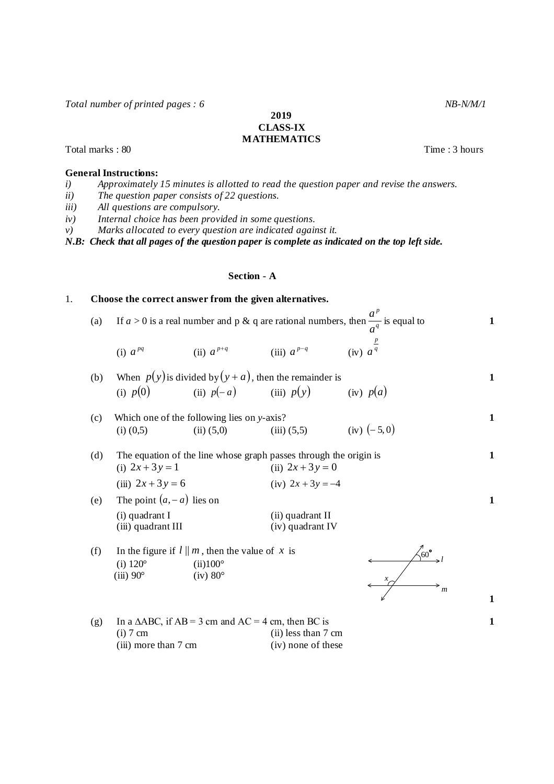*Total number of printed pages : 6* NB-N/M/1

**2019 CLASS-IX**

# **MATHEMATICS**

Total marks : 80 Total marks : 80 Total marks : 80 Total marks : 80 Total marks : 80 Total marks : 80 Total marks : 80 Total marks : 80 Total marks : 80 Total marks : 80 Total marks : 80 Total marks : 80 Total marks : 80 T

### **General Instructions:**

- *i) Approximately 15 minutes is allotted to read the question paper and revise the answers.*
- *ii) The question paper consists of 22 questions.*
- *iii) All questions are compulsory.*
- *iv) Internal choice has been provided in some questions.*
- *v) Marks allocated to every question are indicated against it.*

*N.B: Check that all pages of the question paper is complete as indicated on the top left side.*

## **Section - A**

## 1. **Choose the correct answer from the given alternatives.**

| (a) | If $a > 0$ is a real number and p & q are rational numbers, then $\frac{a}{a^q}$ is equal to |                |                 |                     |  |  |
|-----|----------------------------------------------------------------------------------------------|----------------|-----------------|---------------------|--|--|
|     | (i) $a^{pq}$                                                                                 | (ii) $a^{p+q}$ | (iii) $a^{p-q}$ | (iv) a <sup>q</sup> |  |  |

(b) When 
$$
p(y)
$$
 is divided by  $(y + a)$ , then the remainder is  
\n(i)  $p(0)$  (ii)  $p(-a)$  (iii)  $p(y)$  (iv)  $p(a)$ 

\n- (c) Which one of the following lies on *y*-axis?
\n- (i) 
$$
(0,5)
$$
\n- (ii)  $(5,0)$
\n- (iii)  $(5,5)$
\n- (iv)  $(-5,0)$
\n

| (d) | The equation of the line whose graph passes through the origin is |                     |  |  |  |
|-----|-------------------------------------------------------------------|---------------------|--|--|--|
|     | (i) $2x + 3y = 1$                                                 | (ii) $2x + 3y = 0$  |  |  |  |
|     | (iii) $2x + 3y = 6$                                               | (iv) $2x + 3y = -4$ |  |  |  |
| (e) | The point $(a, -a)$ lies on                                       |                     |  |  |  |

(i) quadrant I<br>
(ii) quadrant III (iii) quadrant IV (iv) quadrant IV  $(iii)$  quadrant III

(f) In the figure if  $l || m$ , then the value of x is (i)  $120^{\circ}$  (ii) $100^{\circ}$ (iii)  $90^\circ$  (iv)  $80^\circ$ 



**1**

*p*

(g) In a  $\triangle ABC$ , if  $AB = 3$  cm and  $AC = 4$  cm, then BC is <br>(i) 7 cm (ii) less than 7 cm (ii) less than  $7 \text{ cm}$ <br>(iv) none of these (iii) more than  $7 \text{ cm}$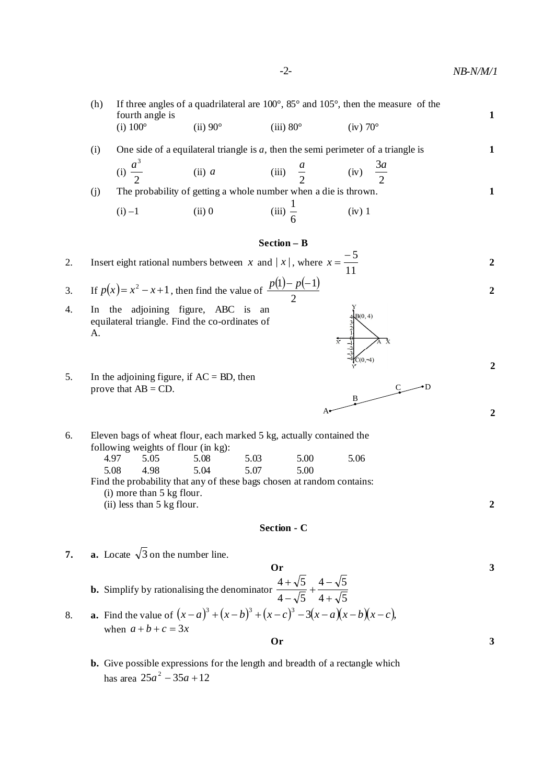**2**

 **2**

**2**

 $C \longrightarrow D$ 

(h) If three angles of a quadrilateral are 100°, 85° and 105°, then the measure of the fourth angle is **1** (i)  $100^{\circ}$  (ii)  $90^{\circ}$  (iii)  $80^{\circ}$  (iv)  $70^{\circ}$ (i) One side of a equilateral triangle is *a*, then the semi perimeter of a triangle is **1**

(i) 
$$
\frac{a^3}{2}
$$
 (ii) a (iii)  $\frac{a}{2}$  (iv)  $\frac{3a}{2}$ 

(j) The probability of getting a whole number when a die is thrown. **1** 1

(i) -1 (ii) 0 (iii) 
$$
\frac{1}{6}
$$
 (iv) 1

### **Section – B**

2. Insert eight rational numbers between  $x$  and  $|x|$ , where 11  $x = \frac{-5}{11}$  2

3. If 
$$
p(x) = x^2 - x + 1
$$
, then find the value of  $\frac{p(1) - p(-1)}{2}$ 

- 4. In the adjoining figure, ABC is an equilateral triangle. Find the co-ordinates of A.
- 5. In the adjoining figure, if  $AC = BD$ , then prove that  $AB = CD$ .
- 6. Eleven bags of wheat flour, each marked 5 kg, actually contained the following weights of flour (in kg):<br> $4.97$  5.05 5.08 4.97 5.05 5.08 5.03 5.00 5.06 5.08 4.98 5.04 5.07 5.00 Find the probability that any of these bags chosen at random contains: (i) more than 5 kg flour. (ii) less than 5 kg flour. **2**

## **Section - C**

A

B

**7. a.** Locate  $\sqrt{3}$  on the number line.

**25**  
**3**  
**3**  
**4** 
$$
-\sqrt{5}
$$
  
**4**  $-\sqrt{5}$   
**4**  $-\sqrt{5}$   
**4**  $-\sqrt{5}$   
**4**  $+\sqrt{5}$   
**4**  $+\sqrt{5}$ 

8. **a.** Find the value of  $(x-a)^3 + (x-b)^3 + (x-c)^3 - 3(x-a)(x-b)(x-c)$ , when  $a + b + c = 3x$ **Or 3**

**b.** Give possible expressions for the length and breadth of a rectangle which has area  $25a^2 - 35a + 12$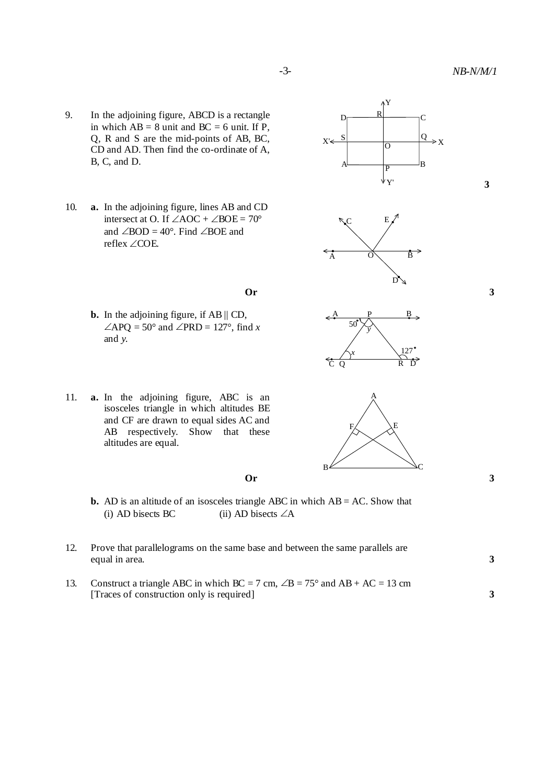**3**

- 9. In the adjoining figure, ABCD is a rectangle in which  $AB = 8$  unit and  $BC = 6$  unit. If P, Q, R and S are the mid-points of AB, BC, CD and AD. Then find the co-ordinate of A,  $B, C, and D.$
- 10. **a.** In the adjoining figure, lines AB and CD intersect at O. If  $\angle AOC + \angle BOE = 70^\circ$ and  $\angle$ BOD = 40°. Find  $\angle$ BOE and reflex COE.
	- **Or 3**
	- **b.** In the adjoining figure, if AB || CD,  $\angle$ APQ = 50° and  $\angle$ PRD = 127°, find *x* and *y.*
- 11. **a.** In the adjoining figure, ABC is an isosceles triangle in which altitudes BE and CF are drawn to equal sides AC and AB respectively. Show that these altitudes are equal.

- **b.** AD is an altitude of an isosceles triangle ABC in which AB = AC. Show that (i) AD bisects BC (ii) AD bisects  $\angle A$
- 12. Prove that parallelograms on the same base and between the same parallels are equal in area. **3**
- 13. Construct a triangle ABC in which  $BC = 7$  cm,  $\angle B = 75^\circ$  and  $AB + AC = 13$  cm [Traces of construction only is required] **3**









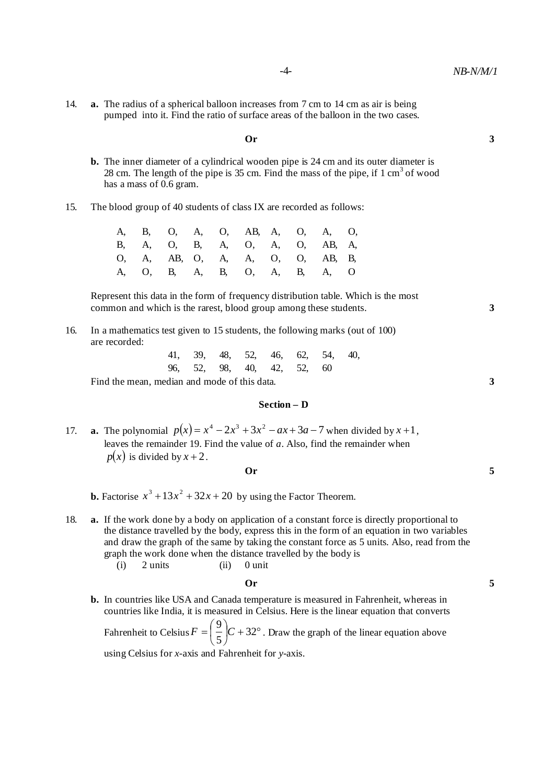14. **a.** The radius of a spherical balloon increases from 7 cm to 14 cm as air is being pumped into it. Find the ratio of surface areas of the balloon in the two cases.

#### **Or 3**

- **b.** The inner diameter of a cylindrical wooden pipe is 24 cm and its outer diameter is 28 cm. The length of the pipe is 35 cm. Find the mass of the pipe, if  $1 \text{ cm}^3$  of wood has a mass of 0.6 gram.
- 15. The blood group of 40 students of class IX are recorded as follows:

|  |  |  |  | A, B, O, A, O, AB, A, O, A, O,  |  |
|--|--|--|--|---------------------------------|--|
|  |  |  |  | B, A, O, B, A, O, A, O, AB, A,  |  |
|  |  |  |  | 0, A, AB, O, A, A, O, O, AB, B, |  |
|  |  |  |  | A, O, B, A, B, O, A, B, A, O    |  |

Represent this data in the form of frequency distribution table. Which is the most common and which is the rarest, blood group among these students. **3**

- 16. In a mathematics test given to 15 students, the following marks (out of 100) are recorded:
	- 41, 39, 48, 52, 46, 62, 54, 40, 96, 52, 98, 40, 42, 52, 60

Find the mean, median and mode of this data. **3 3** 

#### **Section – D**

17. **a.** The polynomial  $p(x) = x^4 - 2x^3 + 3x^2 - ax + 3a - 7$  when divided by  $x + 1$ , leaves the remainder 19. Find the value of *a*. Also, find the remainder when  $p(x)$  is divided by  $x + 2$ .

$$
0r \hspace{2.5cm} 5
$$

**b.** Factorise  $x^3 + 13x^2 + 32x + 20$  by using the Factor Theorem.

18. **a.** If the work done by a body on application of a constant force is directly proportional to the distance travelled by the body, express this in the form of an equation in two variables and draw the graph of the same by taking the constant force as 5 units. Also, read from the graph the work done when the distance travelled by the body is<br>(i)  $2 \text{ units}$  (ii)  $0 \text{ unit}$  $(i)$  2 units  $(ii)$ 

# **Or 5**

**b.** In countries like USA and Canada temperature is measured in Fahrenheit, whereas in countries like India, it is measured in Celsius. Here is the linear equation that converts

Fahrenheit to Celsius  $F = \frac{3}{5} \left| C + 32^{\circ} \right|$  $\bigg)$  $\left(\frac{9}{5}\right)$  $\setminus$  $=\left(\frac{9}{5}\right)C+32$ 5  $F = \left(\frac{9}{7}\right)C + 32^{\circ}$ . Draw the graph of the linear equation above

using Celsius for *x*-axis and Fahrenheit for *y*-axis.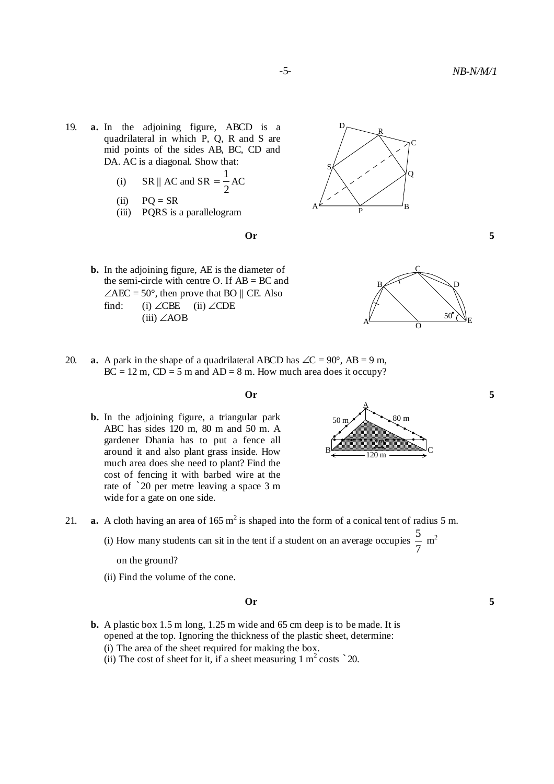- 19. **a.** In the adjoining figure, ABCD is a quadrilateral in which P, Q, R and S are mid points of the sides AB, BC, CD and DA. AC is a diagonal. Show that:
	- (i)  $\|\text{SR}\|$  AC and SR 2  $=\frac{1}{2}AC$
	- $(ii)$   $PQ = SR$
	- (iii) PQRS is a parallelogram



R

D



- **b.** In the adjoining figure, AE is the diameter of the semi-circle with centre O. If  $AB = BC$  and  $\angle$ AEC = 50°, then prove that BO || CE. Also find: (i)  $\angle$ CBE (ii)  $\angle$ CDE (iii)  $\angle AOB$  50<sup>o</sup>
- 20. **a.** A park in the shape of a quadrilateral ABCD has  $\angle C = 90^\circ$ , AB = 9 m,  $BC = 12$  m,  $CD = 5$  m and  $AD = 8$  m. How much area does it occupy?
	-
	- **b.** In the adjoining figure, a triangular park ABC has sides 120 m, 80 m and 50 m. A gardener Dhania has to put a fence all around it and also plant grass inside. How much area does she need to plant? Find the cost of fencing it with barbed wire at the rate of `20 per metre leaving a space 3 m wide for a gate on one side.



- 21. **a.** A cloth having an area of  $165 \text{ m}^2$  is shaped into the form of a conical tent of radius 5 m.
	- (i) How many students can sit in the tent if a student on an average occupies 7  $\frac{5}{2}$  m<sup>2</sup>

(ii) Find the volume of the cone.

#### **Or 5**

- **b.** A plastic box 1.5 m long, 1.25 m wide and 65 cm deep is to be made. It is opened at the top. Ignoring the thickness of the plastic sheet, determine: (i) The area of the sheet required for making the box.
	- (ii) The cost of sheet for it, if a sheet measuring  $1 \text{ m}^2 \text{ costs}$   $\degree$  20.

on the ground?